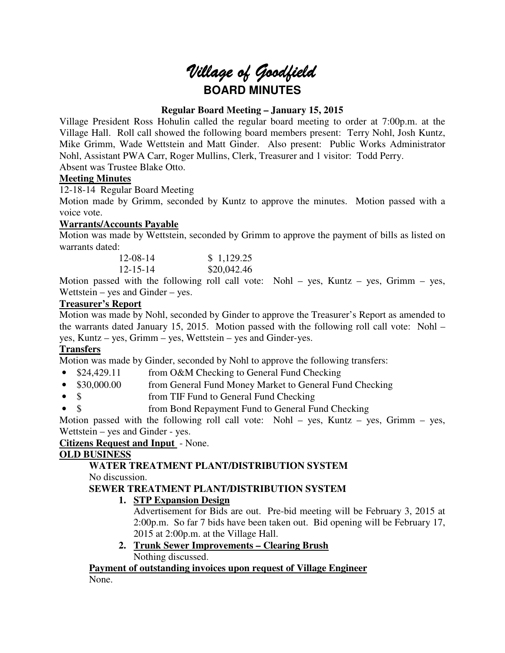# Village of Goodfield **BOARD MINUTES**

# **Regular Board Meeting – January 15, 2015**

Village President Ross Hohulin called the regular board meeting to order at 7:00p.m. at the Village Hall. Roll call showed the following board members present: Terry Nohl, Josh Kuntz, Mike Grimm, Wade Wettstein and Matt Ginder. Also present: Public Works Administrator Nohl, Assistant PWA Carr, Roger Mullins, Clerk, Treasurer and 1 visitor: Todd Perry. Absent was Trustee Blake Otto.

## **Meeting Minutes**

12-18-14 Regular Board Meeting

Motion made by Grimm, seconded by Kuntz to approve the minutes. Motion passed with a voice vote.

# **Warrants/Accounts Payable**

Motion was made by Wettstein, seconded by Grimm to approve the payment of bills as listed on warrants dated:

| $12 - 08 - 14$ | \$1,129.25  |
|----------------|-------------|
| $12 - 15 - 14$ | \$20,042.46 |

Motion passed with the following roll call vote: Nohl – yes, Kuntz – yes, Grimm – yes, Wettstein – yes and Ginder – yes.

## **Treasurer's Report**

Motion was made by Nohl, seconded by Ginder to approve the Treasurer's Report as amended to the warrants dated January 15, 2015. Motion passed with the following roll call vote: Nohl – yes, Kuntz – yes, Grimm – yes, Wettstein – yes and Ginder-yes.

# **Transfers**

Motion was made by Ginder, seconded by Nohl to approve the following transfers:

- \$24,429.11 from O&M Checking to General Fund Checking
- \$30,000.00 from General Fund Money Market to General Fund Checking
- \$ from TIF Fund to General Fund Checking
- \$ from Bond Repayment Fund to General Fund Checking

Motion passed with the following roll call vote: Nohl – yes, Kuntz – yes, Grimm – yes, Wettstein – yes and Ginder - yes.

#### **Citizens Request and Input** - None.

# **OLD BUSINESS**

# **WATER TREATMENT PLANT/DISTRIBUTION SYSTEM**

No discussion.

# **SEWER TREATMENT PLANT/DISTRIBUTION SYSTEM**

# **1. STP Expansion Design**

Advertisement for Bids are out. Pre-bid meeting will be February 3, 2015 at 2:00p.m. So far 7 bids have been taken out. Bid opening will be February 17, 2015 at 2:00p.m. at the Village Hall.

**2. Trunk Sewer Improvements – Clearing Brush**  Nothing discussed.

# **Payment of outstanding invoices upon request of Village Engineer**

None.